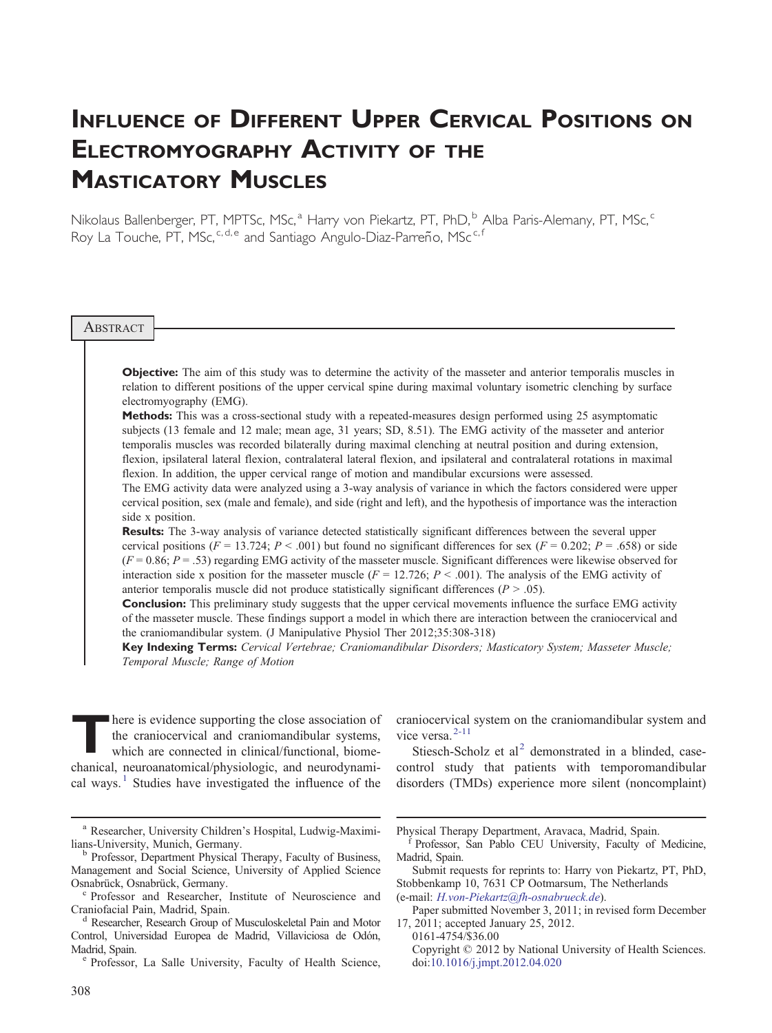# INFLUENCE OF DIFFERENT UPPER CERVICAL POSITIONS ON ELECTROMYOGRAPHY ACTIVITY OF THE **MASTICATORY MUSCLES**

Nikolaus Ballenberger, PT, MPTSc, MSc,<sup>a</sup> Harry von Piekartz, PT, PhD,<sup>b</sup> Alba Paris-Alemany, PT, MSc,<sup>c</sup> Roy La Touche, PT, MSc, c, d, e and Santiago Angulo-Diaz-Parreño, MSc<sup>c, f</sup>

### **ABSTRACT**

**Objective:** The aim of this study was to determine the activity of the masseter and anterior temporalis muscles in relation to different positions of the upper cervical spine during maximal voluntary isometric clenching by surface electromyography (EMG).

Methods: This was a cross-sectional study with a repeated-measures design performed using 25 asymptomatic subjects (13 female and 12 male; mean age, 31 years; SD, 8.51). The EMG activity of the masseter and anterior temporalis muscles was recorded bilaterally during maximal clenching at neutral position and during extension, flexion, ipsilateral lateral flexion, contralateral lateral flexion, and ipsilateral and contralateral rotations in maximal flexion. In addition, the upper cervical range of motion and mandibular excursions were assessed.

The EMG activity data were analyzed using a 3-way analysis of variance in which the factors considered were upper cervical position, sex (male and female), and side (right and left), and the hypothesis of importance was the interaction side x position.

Results: The 3-way analysis of variance detected statistically significant differences between the several upper cervical positions ( $F = 13.724$ ;  $P < .001$ ) but found no significant differences for sex ( $F = 0.202$ ;  $P = .658$ ) or side  $(F = 0.86; P = .53)$  regarding EMG activity of the masseter muscle. Significant differences were likewise observed for interaction side x position for the masseter muscle ( $F = 12.726$ ;  $P < .001$ ). The analysis of the EMG activity of anterior temporalis muscle did not produce statistically significant differences ( $P > .05$ ).

**Conclusion:** This preliminary study suggests that the upper cervical movements influence the surface EMG activity of the masseter muscle. These findings support a model in which there are interaction between the craniocervical and the craniomandibular system. (J Manipulative Physiol Ther 2012;35:308-318)

Key Indexing Terms: Cervical Vertebrae; Craniomandibular Disorders; Masticatory System; Masseter Muscle; Temporal Muscle; Range of Motion

**There is evidence supporting the close association of** the craniocervical and craniomandibular systems, which are connected in clinical/functional, biomechanical, neuroanatomical/physiologic, and neurodynami-cal ways[.](#page-9-0) $\frac{1}{1}$  $\frac{1}{1}$  $\frac{1}{1}$  Studies have investigated the influence of the

craniocervical system on the craniomandibular system and vice versa[.](#page-9-0) $2-11$ 

Stiesch-Scho[l](#page-9-0)z et al<sup>[2](#page-9-0)</sup> demonstrated in a blinded, casecontrol study that patients with temporomandibular disorders (TMDs) experience more silent (noncomplaint)

Physical Therapy Department, Aravaca, Madrid, Spain.<br><sup>f</sup> Professor, San Pablo CEU University, Faculty of Medicine,

0161-4754/\$36.00 Copyright © 2012 by National University of Health Sciences. doi[:10.1016/j.jmpt.2012.04.020](http://dx.doi.org/10.1016/j.jmpt.2012.04.020)

<sup>&</sup>lt;sup>a</sup> Researcher, University Children's Hospital, Ludwig-Maximi-<br>lians-University, Munich, Germany,

<sup>&</sup>lt;sup>b</sup> Professor, Department Physical Therapy, Faculty of Business, Management and Social Science, University of Applied Science

Osnabrück, Osnabrück, Germany.<br>
<sup>c</sup> Professor and Researcher, Institute of Neuroscience and Craniofacial Pain, Madrid, Spain.

<sup>&</sup>lt;sup>d</sup> Researcher, Research Group of Musculoskeletal Pain and Motor Control, Universidad Europea de Madrid, Villaviciosa de Odón, Madrid, Spain.<br>
<sup>e</sup> Professor, La Salle University, Faculty of Health Science,

Madrid, Spain.

Submit requests for reprints to: Harry von Piekartz, PT, PhD, Stobbenkamp 10, 7631 CP Ootmarsum, The Netherlands

<sup>(</sup>e-mail: [H.von-Piekartz@fh-osnabrueck.de](mailto:H.von-Piekartz@fh-osnabrueck.de)).

Paper submitted November 3, 2011; in revised form December 17, 2011; accepted January 25, 2012.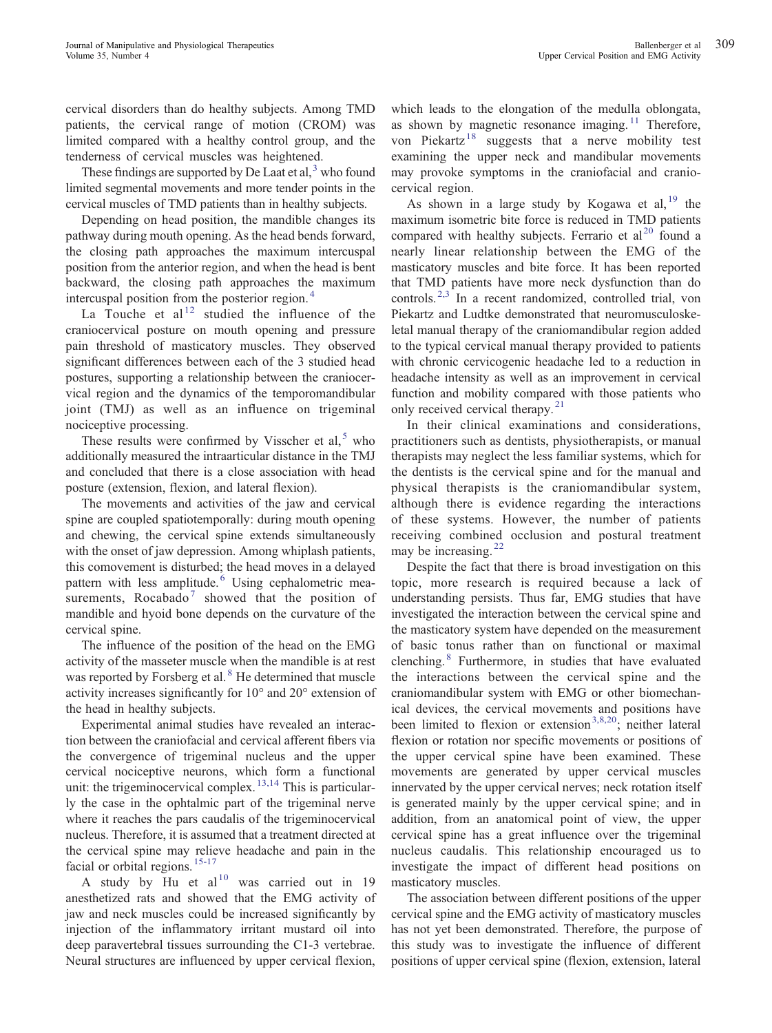cervical disorders than do healthy subjects. Among TMD patients, the cervical range of motion (CROM) was limited compared with a healthy control group, and the tenderness of cervical muscles was heightened.

These findings are supported by De Laat et al[,](#page-9-0)  $3$  who found limited segmental movements and more tender points in the cervical muscles of TMD patients than in healthy subjects.

Depending on head position, the mandible changes its pathway during mouth opening. As the head bends forward, the closing path approaches the maximum intercuspal position from the anterior region, and when the head is bent backward, the closing path approaches the maximum intercuspal position from the posterior region[.](#page-9-0) [4](#page-9-0)

La Touche et a[l](#page-9-0)<sup>[12](#page-9-0)</sup> studied the influence of the craniocervical posture on mouth opening and pressure pain threshold of masticatory muscles. They observed significant differences between each of the 3 studied head postures, supporting a relationship between the craniocervical region and the dynamics of the temporomandibular joint (TMJ) as well as an influence on trigeminal nociceptive processing.

These results were confirmed by Visscher et al[,](#page-9-0) $\delta$  who additionally measured the intraarticular distance in the TMJ and concluded that there is a close association with head posture (extension, flexion, and lateral flexion).

The movements and activities of the jaw and cervical spine are coupled spatiotemporally: during mouth opening and chewing, the cervical spine extends simultaneously with the onset of jaw depression. Among whiplash patients, this comovement is disturbed; the head moves in a delayed pattern with less amplitude[.](#page-9-0)<sup>[6](#page-9-0)</sup> Using cephalometric measurements, R[o](#page-9-0)cabado<sup>[7](#page-9-0)</sup> showed that the position of mandible and hyoid bone depends on the curvature of the cervical spine.

The influence of the position of the head on the EMG activity of the masseter muscle when the mandible is at rest was reported by Forsberg et al[.](#page-9-0)<sup>[8](#page-9-0)</sup> He determined that muscle activity increases significantly for 10° and 20° extension of the head in healthy subjects.

Experimental animal studies have revealed an interaction between the craniofacial and cervical afferent fibers via the convergence of trigeminal nucleus and the upper cervical nociceptive neurons, which form a functional unit: the trigeminocervical complex[.](#page-9-0)  $13,14$  This is particularly the case in the ophtalmic part of the trigeminal nerve where it reaches the pars caudalis of the trigeminocervical nucleus. Therefore, it is assumed that a treatment directed at the cervical spine may relieve headache and pain in the facial or orbital regions[.](#page-9-0)<sup>[15-17](#page-9-0)</sup>

A study by Hu et a[l](#page-9-0) $10$  was carried out in 19 anesthetized rats and showed that the EMG activity of jaw and neck muscles could be increased significantly by injection of the inflammatory irritant mustard oil into deep paravertebral tissues surrounding the C1-3 vertebrae. Neural structures are influenced by upper cervical flexion,

which leads to the elongation of the medulla oblongata, as shown by magnetic resonance imaging[.](#page-9-0)<sup>[11](#page-9-0)</sup> Therefore, von Piekart[z](#page-9-0)<sup>[18](#page-9-0)</sup> suggests that a nerve mobility test examining the upper neck and mandibular movements may provoke symptoms in the craniofacial and craniocervical region.

As shown in a large study by Kogawa et al[,](#page-9-0)  $19$  the maximum isometric bite force is reduced in TMD patients compared with hea[l](#page-9-0)thy subjects. Ferrario et  $al^{20}$  $al^{20}$  $al^{20}$  found a nearly linear relationship between the EMG of the masticatory muscles and bite force. It has been reported that TMD patients have more neck dysfunction than do controls[.](#page-9-0)[2,3](#page-9-0) In a recent randomized, controlled trial, von Piekartz and Ludtke demonstrated that neuromusculoskeletal manual therapy of the craniomandibular region added to the typical cervical manual therapy provided to patients with chronic cervicogenic headache led to a reduction in headache intensity as well as an improvement in cervical function and mobility compared with those patients who only received cervical therapy[.](#page-9-0)<sup>[21](#page-9-0)</sup>

In their clinical examinations and considerations, practitioners such as dentists, physiotherapists, or manual therapists may neglect the less familiar systems, which for the dentists is the cervical spine and for the manual and physical therapists is the craniomandibular system, although there is evidence regarding the interactions of these systems. However, the number of patients receiving combined occlusion and postural treatment may be increasing[.](#page-9-0)  $22$ 

Despite the fact that there is broad investigation on this topic, more research is required because a lack of understanding persists. Thus far, EMG studies that have investigated the interaction between the cervical spine and the masticatory system have depended on the measurement of basic tonus rather than on functional or maximal clenching[.](#page-9-0)<sup>[8](#page-9-0)</sup> Furthermore, in studies that have evaluated the interactions between the cervical spine and the craniomandibular system with EMG or other biomechanical devices, the cervical movements and positions have bee[n](#page-9-0) limited to flexion or extension<sup>3,8,20</sup>; neither lateral flexion or rotation nor specific movements or positions of the upper cervical spine have been examined. These movements are generated by upper cervical muscles innervated by the upper cervical nerves; neck rotation itself is generated mainly by the upper cervical spine; and in addition, from an anatomical point of view, the upper cervical spine has a great influence over the trigeminal nucleus caudalis. This relationship encouraged us to investigate the impact of different head positions on masticatory muscles.

The association between different positions of the upper cervical spine and the EMG activity of masticatory muscles has not yet been demonstrated. Therefore, the purpose of this study was to investigate the influence of different positions of upper cervical spine (flexion, extension, lateral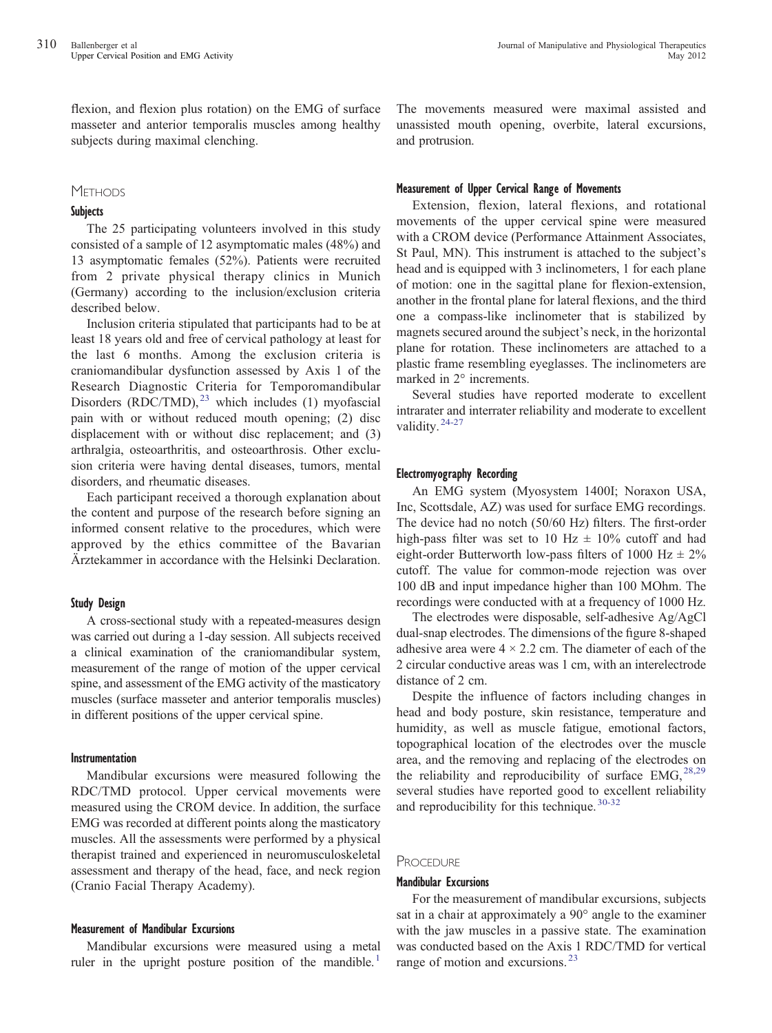flexion, and flexion plus rotation) on the EMG of surface masseter and anterior temporalis muscles among healthy subjects during maximal clenching.

# **METHODS**

# Subjects

The 25 participating volunteers involved in this study consisted of a sample of 12 asymptomatic males (48%) and 13 asymptomatic females (52%). Patients were recruited from 2 private physical therapy clinics in Munich (Germany) according to the inclusion/exclusion criteria described below.

Inclusion criteria stipulated that participants had to be at least 18 years old and free of cervical pathology at least for the last 6 months. Among the exclusion criteria is craniomandibular dysfunction assessed by Axis 1 of the Research Diagnostic Criteria for Temporomandibular Disorders (RDC/TMD)[,](#page-9-0) $^{23}$  $^{23}$  $^{23}$  which includes (1) myofascial pain with or without reduced mouth opening; (2) disc displacement with or without disc replacement; and (3) arthralgia, osteoarthritis, and osteoarthrosis. Other exclusion criteria were having dental diseases, tumors, mental disorders, and rheumatic diseases.

Each participant received a thorough explanation about the content and purpose of the research before signing an informed consent relative to the procedures, which were approved by the ethics committee of the Bavarian Ärztekammer in accordance with the Helsinki Declaration.

## Study Design

A cross-sectional study with a repeated-measures design was carried out during a 1-day session. All subjects received a clinical examination of the craniomandibular system, measurement of the range of motion of the upper cervical spine, and assessment of the EMG activity of the masticatory muscles (surface masseter and anterior temporalis muscles) in different positions of the upper cervical spine.

## **Instrumentation**

Mandibular excursions were measured following the RDC/TMD protocol. Upper cervical movements were measured using the CROM device. In addition, the surface EMG was recorded at different points along the masticatory muscles. All the assessments were performed by a physical therapist trained and experienced in neuromusculoskeletal assessment and therapy of the head, face, and neck region (Cranio Facial Therapy Academy).

## Measurement of Mandibular Excursions

Mandibular excursions were measured using a metal ruler in the upright posture position of the mandible[.](#page-9-0)<sup>[1](#page-9-0)</sup>

The movements measured were maximal assisted and unassisted mouth opening, overbite, lateral excursions, and protrusion.

## Measurement of Upper Cervical Range of Movements

Extension, flexion, lateral flexions, and rotational movements of the upper cervical spine were measured with a CROM device (Performance Attainment Associates, St Paul, MN). This instrument is attached to the subject's head and is equipped with 3 inclinometers, 1 for each plane of motion: one in the sagittal plane for flexion-extension, another in the frontal plane for lateral flexions, and the third one a compass-like inclinometer that is stabilized by magnets secured around the subject's neck, in the horizontal plane for rotation. These inclinometers are attached to a plastic frame resembling eyeglasses. The inclinometers are marked in 2° increments.

Several studies have reported moderate to excellent intrarater and interrater reliability and moderate to excellent validity[.](#page-9-0)[24-27](#page-9-0)

# Electromyography Recording

An EMG system (Myosystem 1400I; Noraxon USA, Inc, Scottsdale, AZ) was used for surface EMG recordings. The device had no notch (50/60 Hz) filters. The first-order high-pass filter was set to 10 Hz  $\pm$  10% cutoff and had eight-order Butterworth low-pass filters of 1000 Hz  $\pm$  2% cutoff. The value for common-mode rejection was over 100 dB and input impedance higher than 100 MOhm. The recordings were conducted with at a frequency of 1000 Hz.

The electrodes were disposable, self-adhesive Ag/AgCl dual-snap electrodes. The dimensions of the figure 8-shaped adhesive area were  $4 \times 2.2$  cm. The diameter of each of the 2 circular conductive areas was 1 cm, with an interelectrode distance of 2 cm.

Despite the influence of factors including changes in head and body posture, skin resistance, temperature and humidity, as well as muscle fatigue, emotional factors, topographical location of the electrodes over the muscle area, and the removing and replacing of the electrodes on the reliability and reproducibility of surface  $EMG$ [,](#page-9-0)  $^{28,29}$  $^{28,29}$  $^{28,29}$ several studies have reported good to excellent reliability and reproducibility for this technique[.](#page-10-0) [30-32](#page-10-0)

#### **PROCEDURE**

### Mandibular Excursions

For the measurement of mandibular excursions, subjects sat in a chair at approximately a 90° angle to the examiner with the jaw muscles in a passive state. The examination was conducted based on the Axis 1 RDC/TMD for vertical range of motion and excursions[.](#page-9-0)<sup>[23](#page-9-0)</sup>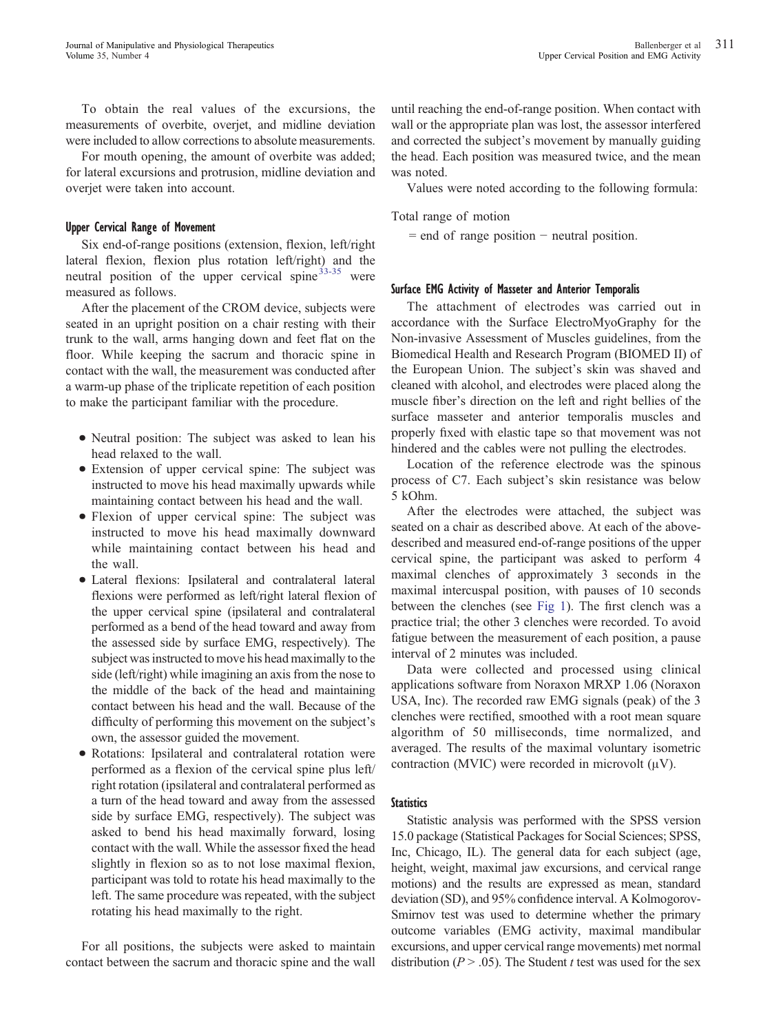To obtain the real values of the excursions, the measurements of overbite, overjet, and midline deviation were included to allow corrections to absolute measurements.

For mouth opening, the amount of overbite was added; for lateral excursions and protrusion, midline deviation and overjet were taken into account.

# Upper Cervical Range of Movement

Six end-of-range positions (extension, flexion, left/right lateral flexion, flexion plus rotation left/right) and the n[e](#page-10-0)utral position of the upper cervical spine $33-35$  were measured as follows.

After the placement of the CROM device, subjects were seated in an upright position on a chair resting with their trunk to the wall, arms hanging down and feet flat on the floor. While keeping the sacrum and thoracic spine in contact with the wall, the measurement was conducted after a warm-up phase of the triplicate repetition of each position to make the participant familiar with the procedure.

- Neutral position: The subject was asked to lean his head relaxed to the wall.
- Extension of upper cervical spine: The subject was instructed to move his head maximally upwards while maintaining contact between his head and the wall.
- Flexion of upper cervical spine: The subject was instructed to move his head maximally downward while maintaining contact between his head and the wall.
- Lateral flexions: Ipsilateral and contralateral lateral flexions were performed as left/right lateral flexion of the upper cervical spine (ipsilateral and contralateral performed as a bend of the head toward and away from the assessed side by surface EMG, respectively). The subject was instructed to move his head maximally to the side (left/right) while imagining an axis from the nose to the middle of the back of the head and maintaining contact between his head and the wall. Because of the difficulty of performing this movement on the subject's own, the assessor guided the movement.
- Rotations: Ipsilateral and contralateral rotation were performed as a flexion of the cervical spine plus left/ right rotation (ipsilateral and contralateral performed as a turn of the head toward and away from the assessed side by surface EMG, respectively). The subject was asked to bend his head maximally forward, losing contact with the wall. While the assessor fixed the head slightly in flexion so as to not lose maximal flexion, participant was told to rotate his head maximally to the left. The same procedure was repeated, with the subject rotating his head maximally to the right.

For all positions, the subjects were asked to maintain contact between the sacrum and thoracic spine and the wall until reaching the end-of-range position. When contact with wall or the appropriate plan was lost, the assessor interfered and corrected the subject's movement by manually guiding the head. Each position was measured twice, and the mean was noted.

Values were noted according to the following formula:

Total range of motion

= end of range position − neutral position:

# Surface EMG Activity of Masseter and Anterior Temporalis

The attachment of electrodes was carried out in accordance with the Surface ElectroMyoGraphy for the Non-invasive Assessment of Muscles guidelines, from the Biomedical Health and Research Program (BIOMED II) of the European Union. The subject's skin was shaved and cleaned with alcohol, and electrodes were placed along the muscle fiber's direction on the left and right bellies of the surface masseter and anterior temporalis muscles and properly fixed with elastic tape so that movement was not hindered and the cables were not pulling the electrodes.

Location of the reference electrode was the spinous process of C7. Each subject's skin resistance was below 5 kOhm.

After the electrodes were attached, the subject was seated on a chair as described above. At each of the abovedescribed and measured end-of-range positions of the upper cervical spine, the participant was asked to perform 4 maximal clenches of approximately 3 seconds in the maximal intercuspal position, with pauses of 10 seconds between the clenches (see [Fig 1](#page-4-0)). The first clench was a practice trial; the other 3 clenches were recorded. To avoid fatigue between the measurement of each position, a pause interval of 2 minutes was included.

Data were collected and processed using clinical applications software from Noraxon MRXP 1.06 (Noraxon USA, Inc). The recorded raw EMG signals (peak) of the 3 clenches were rectified, smoothed with a root mean square algorithm of 50 milliseconds, time normalized, and averaged. The results of the maximal voluntary isometric contraction (MVIC) were recorded in microvolt  $(\mu V)$ .

# **Statistics**

Statistic analysis was performed with the SPSS version 15.0 package (Statistical Packages for Social Sciences; SPSS, Inc, Chicago, IL). The general data for each subject (age, height, weight, maximal jaw excursions, and cervical range motions) and the results are expressed as mean, standard deviation (SD), and 95% confidence interval. A Kolmogorov-Smirnov test was used to determine whether the primary outcome variables (EMG activity, maximal mandibular excursions, and upper cervical range movements) met normal distribution ( $P > .05$ ). The Student t test was used for the sex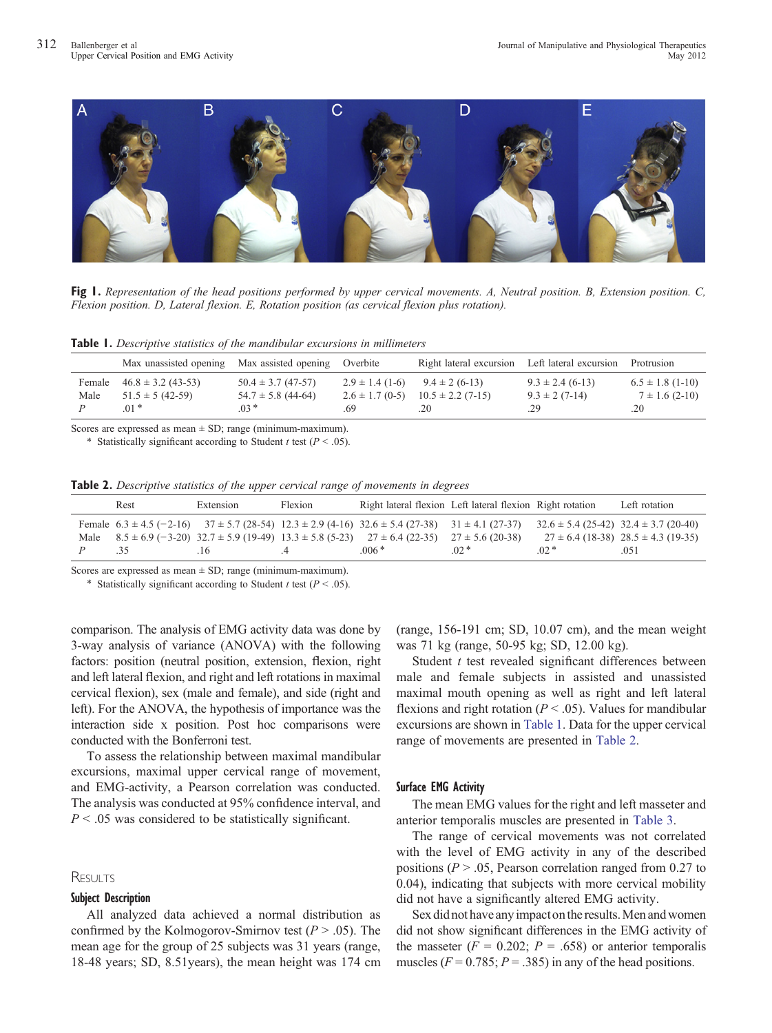<span id="page-4-0"></span>

Fig 1. Representation of the head positions performed by upper cervical movements. A, Neutral position. B, Extension position. C, Flexion position. D, Lateral flexion. E, Rotation position (as cervical flexion plus rotation).

|  |  |  |  |  |  | Table 1. Descriptive statistics of the mandibular excursions in millimeters |  |  |  |
|--|--|--|--|--|--|-----------------------------------------------------------------------------|--|--|--|
|--|--|--|--|--|--|-----------------------------------------------------------------------------|--|--|--|

|                | Max unassisted opening Max assisted opening            |                                                            | Overbite | Right lateral excursion Left lateral excursion                                             |                                                   | Protrusion                                        |
|----------------|--------------------------------------------------------|------------------------------------------------------------|----------|--------------------------------------------------------------------------------------------|---------------------------------------------------|---------------------------------------------------|
| Female<br>Male | $46.8 \pm 3.2$ (43-53)<br>$51.5 \pm 5(42-59)$<br>$01*$ | $50.4 \pm 3.7$ (47-57)<br>$54.7 \pm 5.8$ (44-64)<br>$.03*$ | .69      | $2.9 \pm 1.4$ (1-6) $9.4 \pm 2$ (6-13)<br>$2.6 \pm 1.7$ (0-5) $10.5 \pm 2.2$ (7-15)<br>.20 | $9.3 \pm 2.4$ (6-13)<br>$9.3 \pm 2 (7-14)$<br>.29 | $6.5 \pm 1.8$ (1-10)<br>$7 \pm 1.6$ (2-10)<br>.20 |

Scores are expressed as mean  $\pm$  SD; range (minimum-maximum).

\* Statistically significant according to Student t test ( $P < .05$ ).

Table 2. Descriptive statistics of the upper cervical range of movements in degrees

| Rest | Extension      | Flexion | Right lateral flexion Left lateral flexion Right rotation                                                                                                                                                                                                                                        |       |       | Left rotation                                       |
|------|----------------|---------|--------------------------------------------------------------------------------------------------------------------------------------------------------------------------------------------------------------------------------------------------------------------------------------------------|-------|-------|-----------------------------------------------------|
|      | $\overline{h}$ |         | Female $6.3 \pm 4.5$ (-2-16) $37 \pm 5.7$ (28-54) 12.3 $\pm$ 2.9 (4-16) 32.6 $\pm$ 5.4 (27-38) 31 $\pm$ 4.1 (27-37) 32.6 $\pm$ 5.4 (25-42) 32.4 $\pm$ 3.7 (20-40)<br>Male $8.5 \pm 6.9$ (-3-20) $32.7 \pm 5.9$ (19-49) $13.3 \pm 5.8$ (5-23) $27 \pm 6.4$ (22-35) $27 \pm 5.6$ (20-38)<br>$006*$ | $02*$ | $02*$ | $27 \pm 6.4$ (18-38) $28.5 \pm 4.3$ (19-35)<br>.051 |

Scores are expressed as mean  $\pm$  SD; range (minimum-maximum).

\* Statistically significant according to Student t test ( $P < .05$ ).

comparison. The analysis of EMG activity data was done by 3-way analysis of variance (ANOVA) with the following factors: position (neutral position, extension, flexion, right and left lateral flexion, and right and left rotations in maximal cervical flexion), sex (male and female), and side (right and left). For the ANOVA, the hypothesis of importance was the interaction side x position. Post hoc comparisons were conducted with the Bonferroni test.

To assess the relationship between maximal mandibular excursions, maximal upper cervical range of movement, and EMG-activity, a Pearson correlation was conducted. The analysis was conducted at 95% confidence interval, and  $P < .05$  was considered to be statistically significant.

#### **RESULTS**

#### Subject Description

All analyzed data achieved a normal distribution as confirmed by the Kolmogorov-Smirnov test ( $P > .05$ ). The mean age for the group of 25 subjects was 31 years (range, 18-48 years; SD, 8.51years), the mean height was 174 cm

(range, 156-191 cm; SD, 10.07 cm), and the mean weight was 71 kg (range, 50-95 kg; SD, 12.00 kg).

Student  $t$  test revealed significant differences between male and female subjects in assisted and unassisted maximal mouth opening as well as right and left lateral flexions and right rotation ( $P < .05$ ). Values for mandibular excursions are shown in Table 1. Data for the upper cervical range of movements are presented in Table 2.

#### Surface EMG Activity

The mean EMG values for the right and left masseter and anterior temporalis muscles are presented in [Table 3](#page-5-0).

The range of cervical movements was not correlated with the level of EMG activity in any of the described positions ( $P > .05$ , Pearson correlation ranged from 0.27 to 0.04), indicating that subjects with more cervical mobility did not have a significantly altered EMG activity.

Sex did not have any impact on the results. Men and women did not show significant differences in the EMG activity of the masseter ( $F = 0.202$ ;  $P = .658$ ) or anterior temporalis muscles ( $F = 0.785$ ;  $P = .385$ ) in any of the head positions.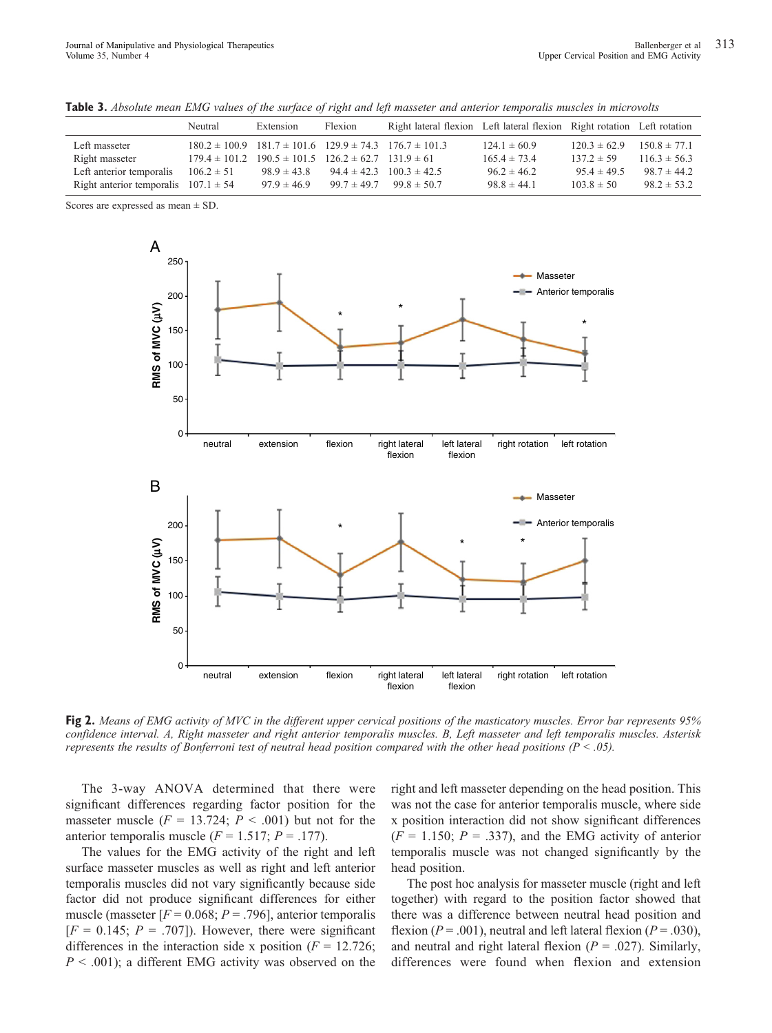<span id="page-5-0"></span>Table 3. Absolute mean EMG values of the surface of right and left masseter and anterior temporalis muscles in microvolts

|                                          | Neutral        | Extension                                                              | Flexion         | Right lateral flexion Left lateral flexion Right rotation Left rotation |                  |                  |                  |
|------------------------------------------|----------------|------------------------------------------------------------------------|-----------------|-------------------------------------------------------------------------|------------------|------------------|------------------|
| Left masseter                            |                | $180.2 \pm 100.9$ $181.7 \pm 101.6$ $129.9 \pm 74.3$ $176.7 \pm 101.3$ |                 |                                                                         | $124.1 \pm 60.9$ | $120.3 \pm 62.9$ | $150.8 \pm 77.1$ |
| Right masseter                           |                | $179.4 \pm 101.2$ $190.5 \pm 101.5$ $126.2 \pm 62.7$ $131.9 \pm 61$    |                 |                                                                         | $165.4 \pm 73.4$ | $137.2 \pm 59$   | $116.3 \pm 56.3$ |
| Left anterior temporalis                 | $106.2 \pm 51$ | $98.9 \pm 43.8$                                                        |                 | $94.4 \pm 42.3$ $100.3 \pm 42.5$                                        | $96.2 \pm 46.2$  | $95.4 \pm 49.5$  | $98.7 \pm 44.2$  |
| Right anterior temporalis $107.1 \pm 54$ |                | $97.9 \pm 46.9$                                                        | $99.7 \pm 49.7$ | $99.8 \pm 50.7$                                                         | $98.8 \pm 44.1$  | $103.8 \pm 50$   | $98.2 \pm 53.2$  |

Scores are expressed as mean ± SD.



**Fig 2.** Means of EMG activity of MVC in the different upper cervical positions of the masticatory muscles. Error bar represents 95%<br>confidence interval. A, Right masseter and right anterior temporalis muscles. B, Left mas represents the results of Bonferroni test of neutral head position compared with the other head positions ( $P < .05$ ).

The 3-way ANOVA determined that there were significant differences regarding factor position for the masseter muscle  $(F = 13.724; P < .001)$  but not for the anterior temporalis muscle  $(F = 1.517; P = .177)$ .

The values for the EMG activity of the right and left surface masseter muscles as well as right and left anterior temporalis muscles did not vary significantly because side factor did not produce significant differences for either muscle (masseter  $[F = 0.068; P = .796]$ , anterior temporalis  $[F = 0.145; P = .707]$ . However, there were significant differences in the interaction side x position ( $F = 12.726$ ;  $P < .001$ ); a different EMG activity was observed on the right and left masseter depending on the head position. This was not the case for anterior temporalis muscle, where side x position interaction did not show significant differences  $(F = 1.150; P = .337)$ , and the EMG activity of anterior temporalis muscle was not changed significantly by the head position.

The post hoc analysis for masseter muscle (right and left together) with regard to the position factor showed that there was a difference between neutral head position and flexion ( $P = .001$ ), neutral and left lateral flexion ( $P = .030$ ), and neutral and right lateral flexion ( $P = .027$ ). Similarly, differences were found when flexion and extension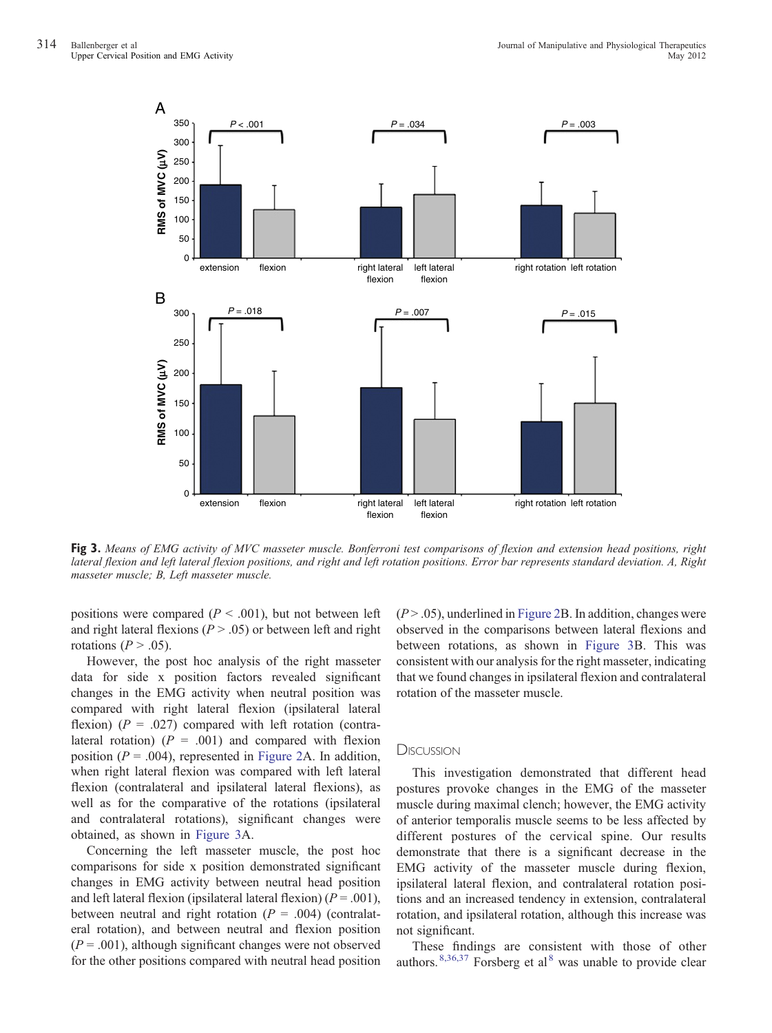

Fig 3. Means of EMG activity of MVC masseter muscle. Bonferroni test comparisons of flexion and extension head positions, right lateral flexion and left lateral flexion positions, and right and left rotation positions. Error bar represents standard deviation. A, Right masseter muscle; B, Left masseter muscle.

positions were compared ( $P < .001$ ), but not between left and right lateral flexions ( $P > .05$ ) or between left and right rotations ( $P > .05$ ).

However, the post hoc analysis of the right masseter data for side x position factors revealed significant changes in the EMG activity when neutral position was compared with right lateral flexion (ipsilateral lateral flexion) ( $P = .027$ ) compared with left rotation (contralateral rotation) ( $P = .001$ ) and compared with flexion position ( $P = .004$ ), represented in [Figure 2](#page-5-0)A. In addition, when right lateral flexion was compared with left lateral flexion (contralateral and ipsilateral lateral flexions), as well as for the comparative of the rotations (ipsilateral and contralateral rotations), significant changes were obtained, as shown in Figure 3A.

Concerning the left masseter muscle, the post hoc comparisons for side x position demonstrated significant changes in EMG activity between neutral head position and left lateral flexion (ipsilateral lateral flexion)  $(P = .001)$ , between neutral and right rotation ( $P = .004$ ) (contralateral rotation), and between neutral and flexion position  $(P = .001)$ , although significant changes were not observed for the other positions compared with neutral head position  $(P > .05)$ , underlined in [Figure 2B](#page-5-0). In addition, changes were observed in the comparisons between lateral flexions and between rotations, as shown in Figure 3B. This was consistent with our analysis for the right masseter, indicating that we found changes in ipsilateral flexion and contralateral rotation of the masseter muscle.

## **DISCUSSION**

This investigation demonstrated that different head postures provoke changes in the EMG of the masseter muscle during maximal clench; however, the EMG activity of anterior temporalis muscle seems to be less affected by different postures of the cervical spine. Our results demonstrate that there is a significant decrease in the EMG activity of the masseter muscle during flexion, ipsilateral lateral flexion, and contralateral rotation positions and an increased tendency in extension, contralateral rotation, and ipsilateral rotation, although this increase was not significant.

These findings are consistent with those of other authors[.](#page-9-0)  $8,36,37$  Forsberg et a[l](#page-9-0)<sup>[8](#page-9-0)</sup> was unable to provide clear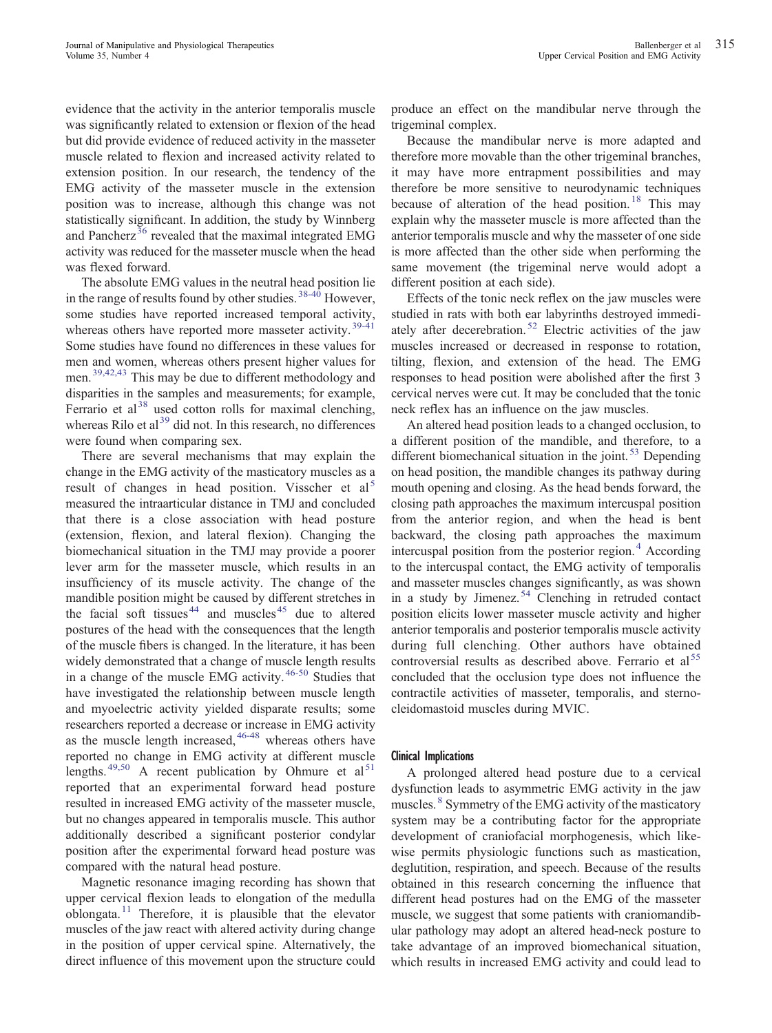evidence that the activity in the anterior temporalis muscle was significantly related to extension or flexion of the head but did provide evidence of reduced activity in the masseter muscle related to flexion and increased activity related to extension position. In our research, the tendency of the EMG activity of the masseter muscle in the extension position was to increase, although this change was not statistically significant. In addition, the study by Winnberg and Pancher[z](#page-10-0) $36$  revealed that the maximal integrated EMG activity was reduced for the masseter muscle when the head was flexed forward.

The absolute EMG values in the neutral head position lie in the range of results found by other studies[.](#page-10-0)  $38-40$  However, some studies have reported increased temporal activity, whereas others have reported more masseter activity[.](#page-10-0)<sup>[39-41](#page-10-0)</sup> Some studies have found no differences in these values for men and women, whereas others present higher values for men[.](#page-10-0)[39,42,43](#page-10-0) This may be due to different methodology and disparities in the samples and measurements; for example, Ferrario et a[l](#page-10-0)<sup>[38](#page-10-0)</sup> used cotton rolls for maximal clenching, whereas Ri[l](#page-10-0)o et al<sup>[39](#page-10-0)</sup> did not. In this research, no differences were found when comparing sex.

There are several mechanisms that may explain the change in the EMG activity of the masticatory muscles as a resu[l](#page-9-0)t of changes in head position. Visscher et al<sup>[5](#page-9-0)</sup> measured the intraarticular distance in TMJ and concluded that there is a close association with head posture (extension, flexion, and lateral flexion). Changing the biomechanical situation in the TMJ may provide a poorer lever arm for the masseter muscle, which results in an insufficiency of its muscle activity. The change of the mandible position might be caused by different stretches in the facial [s](#page-10-0)oft tissues<sup>[44](#page-10-0)</sup> and muscles<sup>[45](#page-10-0)</sup> due to altered postures of the head with the consequences that the length of the muscle fibers is changed. In the literature, it has been widely demonstrated that a change of muscle length results in a change of the muscle EMG activity[.](#page-10-0)<sup>[46-50](#page-10-0)</sup> Studies that have investigated the relationship between muscle length and myoelectric activity yielded disparate results; some researchers reported a decrease or increase in EMG activity as the muscle length increased[,](#page-10-0)  $46-48$  whereas others have reported no change in EMG activity at different muscle lengths[.](#page-10-0)  $49,50$  A recent pub[l](#page-10-0)ication by Ohmure et al  $51$ reported that an experimental forward head posture resulted in increased EMG activity of the masseter muscle, but no changes appeared in temporalis muscle. This author additionally described a significant posterior condylar position after the experimental forward head posture was compared with the natural head posture.

Magnetic resonance imaging recording has shown that upper cervical flexion leads to elongation of the medulla oblongata[.](#page-9-0) $11$  Therefore, it is plausible that the elevator muscles of the jaw react with altered activity during change in the position of upper cervical spine. Alternatively, the direct influence of this movement upon the structure could

produce an effect on the mandibular nerve through the trigeminal complex.

Because the mandibular nerve is more adapted and therefore more movable than the other trigeminal branches, it may have more entrapment possibilities and may therefore be more sensitive to neurodynamic techniques because of alteration of the head position[.](#page-9-0)<sup>[18](#page-9-0)</sup> This may explain why the masseter muscle is more affected than the anterior temporalis muscle and why the masseter of one side is more affected than the other side when performing the same movement (the trigeminal nerve would adopt a different position at each side).

Effects of the tonic neck reflex on the jaw muscles were studied in rats with both ear labyrinths destroyed immedi-ately after decerebration[.](#page-10-0)<sup>[52](#page-10-0)</sup> Electric activities of the jaw muscles increased or decreased in response to rotation, tilting, flexion, and extension of the head. The EMG responses to head position were abolished after the first 3 cervical nerves were cut. It may be concluded that the tonic neck reflex has an influence on the jaw muscles.

An altered head position leads to a changed occlusion, to a different position of the mandible, and therefore, to a different biomechanical situation in the joint[.](#page-10-0)<sup>[53](#page-10-0)</sup> Depending on head position, the mandible changes its pathway during mouth opening and closing. As the head bends forward, the closing path approaches the maximum intercuspal position from the anterior region, and when the head is bent backward, the closing path approaches the maximum intercuspal position from the posterior region[.](#page-9-0) [4](#page-9-0) According to the intercuspal contact, the EMG activity of temporalis and masseter muscles changes significantly, as was shown in a study by Jimenez[.](#page-10-0)<sup>[54](#page-10-0)</sup> Clenching in retruded contact position elicits lower masseter muscle activity and higher anterior temporalis and posterior temporalis muscle activity during full clenching. Other authors have obtained controversia[l](#page-10-0) results as described above. Ferrario et al<sup>[55](#page-10-0)</sup> concluded that the occlusion type does not influence the contractile activities of masseter, temporalis, and sternocleidomastoid muscles during MVIC.

# Clinical Implications

A prolonged altered head posture due to a cervical dysfunction leads to asymmetric EMG activity in the jaw muscles[.](#page-9-0)<sup>[8](#page-9-0)</sup> Symmetry of the EMG activity of the masticatory system may be a contributing factor for the appropriate development of craniofacial morphogenesis, which likewise permits physiologic functions such as mastication, deglutition, respiration, and speech. Because of the results obtained in this research concerning the influence that different head postures had on the EMG of the masseter muscle, we suggest that some patients with craniomandibular pathology may adopt an altered head-neck posture to take advantage of an improved biomechanical situation, which results in increased EMG activity and could lead to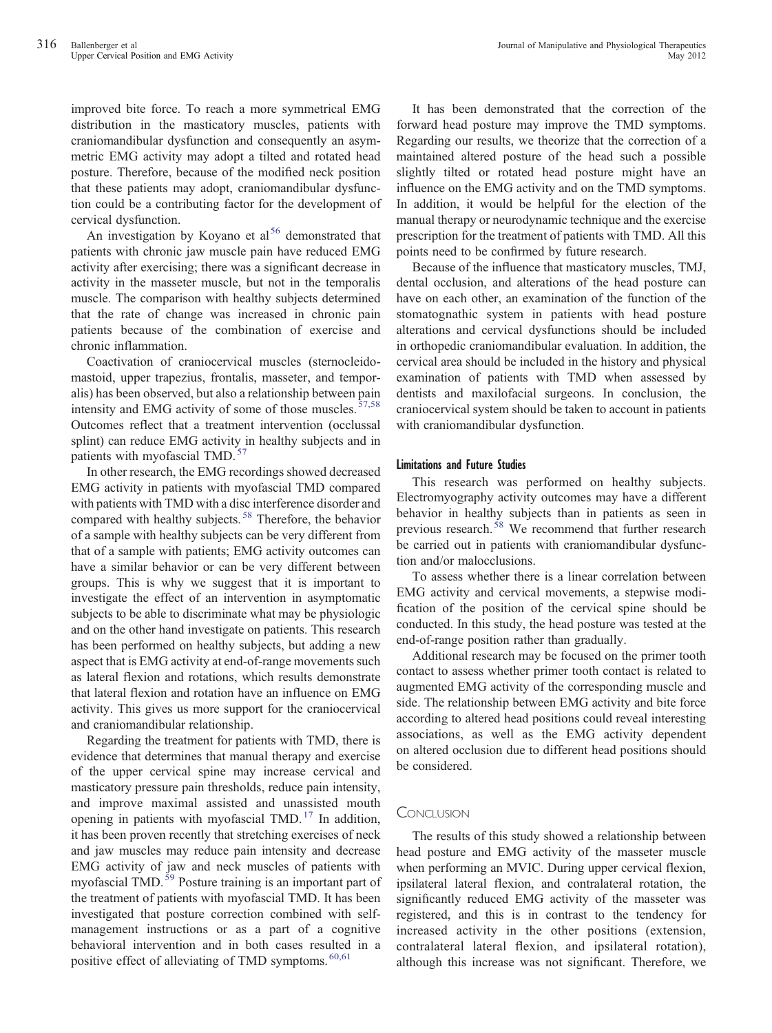improved bite force. To reach a more symmetrical EMG distribution in the masticatory muscles, patients with craniomandibular dysfunction and consequently an asymmetric EMG activity may adopt a tilted and rotated head posture. Therefore, because of the modified neck position that these patients may adopt, craniomandibular dysfunction could be a contributing factor for the development of cervical dysfunction.

An investigation by Koyano et a[l](#page-10-0)<sup>[56](#page-10-0)</sup> demonstrated that patients with chronic jaw muscle pain have reduced EMG activity after exercising; there was a significant decrease in activity in the masseter muscle, but not in the temporalis muscle. The comparison with healthy subjects determined that the rate of change was increased in chronic pain patients because of the combination of exercise and chronic inflammation.

Coactivation of craniocervical muscles (sternocleidomastoid, upper trapezius, frontalis, masseter, and temporalis) has been observed, but also a relationship between pain intensity and EMG activity of some of those muscles[.](#page-10-0)<sup>[57,58](#page-10-0)</sup> Outcomes reflect that a treatment intervention (occlussal splint) can reduce EMG activity in healthy subjects and in patients with myofascial TMD[.](#page-10-0)<sup>[57](#page-10-0)</sup>

In other research, the EMG recordings showed decreased EMG activity in patients with myofascial TMD compared with patients with TMD with a disc interference disorder and compared with healthy subjects[.](#page-10-0) [58](#page-10-0) Therefore, the behavior of a sample with healthy subjects can be very different from that of a sample with patients; EMG activity outcomes can have a similar behavior or can be very different between groups. This is why we suggest that it is important to investigate the effect of an intervention in asymptomatic subjects to be able to discriminate what may be physiologic and on the other hand investigate on patients. This research has been performed on healthy subjects, but adding a new aspect that is EMG activity at end-of-range movements such as lateral flexion and rotations, which results demonstrate that lateral flexion and rotation have an influence on EMG activity. This gives us more support for the craniocervical and craniomandibular relationship.

Regarding the treatment for patients with TMD, there is evidence that determines that manual therapy and exercise of the upper cervical spine may increase cervical and masticatory pressure pain thresholds, reduce pain intensity, and improve maximal assisted and unassisted mouth opening in patients with myofascial TMD[.](#page-9-0) <sup>[17](#page-9-0)</sup> In addition, it has been proven recently that stretching exercises of neck and jaw muscles may reduce pain intensity and decrease EMG activity of jaw and neck muscles of patients with myofascial TMD[.](#page-10-0)<sup>[59](#page-10-0)</sup> Posture training is an important part of the treatment of patients with myofascial TMD. It has been investigated that posture correction combined with selfmanagement instructions or as a part of a cognitive behavioral intervention and in both cases resulted in a positive effect of alleviating of TMD symptoms[.](#page-10-0)  $60,61$ 

It has been demonstrated that the correction of the forward head posture may improve the TMD symptoms. Regarding our results, we theorize that the correction of a maintained altered posture of the head such a possible slightly tilted or rotated head posture might have an influence on the EMG activity and on the TMD symptoms. In addition, it would be helpful for the election of the manual therapy or neurodynamic technique and the exercise prescription for the treatment of patients with TMD. All this points need to be confirmed by future research.

Because of the influence that masticatory muscles, TMJ, dental occlusion, and alterations of the head posture can have on each other, an examination of the function of the stomatognathic system in patients with head posture alterations and cervical dysfunctions should be included in orthopedic craniomandibular evaluation. In addition, the cervical area should be included in the history and physical examination of patients with TMD when assessed by dentists and maxilofacial surgeons. In conclusion, the craniocervical system should be taken to account in patients with craniomandibular dysfunction.

## Limitations and Future Studies

This research was performed on healthy subjects. Electromyography activity outcomes may have a different behavior in healthy subjects than in patients as seen in previous research[.](#page-10-0)<sup>[58](#page-10-0)</sup> We recommend that further research be carried out in patients with craniomandibular dysfunction and/or malocclusions.

To assess whether there is a linear correlation between EMG activity and cervical movements, a stepwise modification of the position of the cervical spine should be conducted. In this study, the head posture was tested at the end-of-range position rather than gradually.

Additional research may be focused on the primer tooth contact to assess whether primer tooth contact is related to augmented EMG activity of the corresponding muscle and side. The relationship between EMG activity and bite force according to altered head positions could reveal interesting associations, as well as the EMG activity dependent on altered occlusion due to different head positions should be considered.

# **CONCLUSION**

The results of this study showed a relationship between head posture and EMG activity of the masseter muscle when performing an MVIC. During upper cervical flexion, ipsilateral lateral flexion, and contralateral rotation, the significantly reduced EMG activity of the masseter was registered, and this is in contrast to the tendency for increased activity in the other positions (extension, contralateral lateral flexion, and ipsilateral rotation), although this increase was not significant. Therefore, we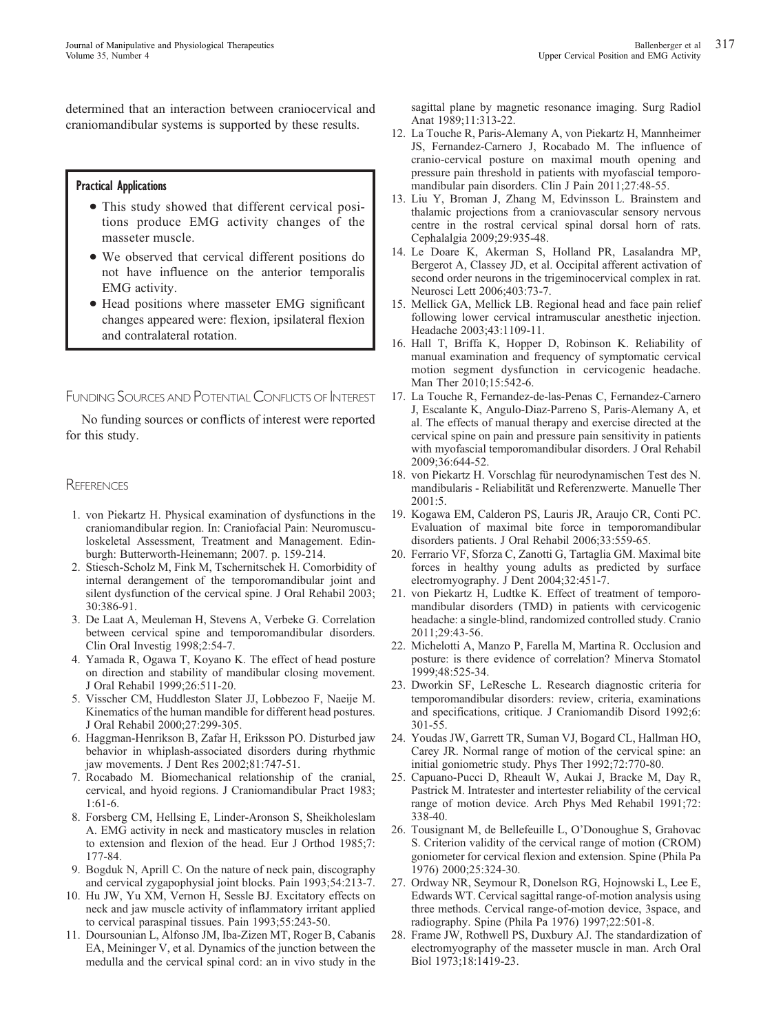<span id="page-9-0"></span>determined that an interaction between craniocervical and craniomandibular systems is supported by these results.

# Practical Applications

- This study showed that different cervical positions produce EMG activity changes of the masseter muscle.
- We observed that cervical different positions do not have influence on the anterior temporalis EMG activity.
- Head positions where masseter EMG significant changes appeared were: flexion, ipsilateral flexion and contralateral rotation.

# FUNDING SOURCES AND POTENTIAL CONFLICTS OF INTEREST

No funding sources or conflicts of interest were reported for this study.

# **REFERENCES**

- 1. von Piekartz H. Physical examination of dysfunctions in the craniomandibular region. In: Craniofacial Pain: Neuromusculoskeletal Assessment, Treatment and Management. Edinburgh: Butterworth-Heinemann; 2007. p. 159-214.
- 2. Stiesch-Scholz M, Fink M, Tschernitschek H. Comorbidity of internal derangement of the temporomandibular joint and silent dysfunction of the cervical spine. J Oral Rehabil 2003; 30:386-91.
- 3. De Laat A, Meuleman H, Stevens A, Verbeke G. Correlation between cervical spine and temporomandibular disorders. Clin Oral Investig 1998;2:54-7.
- 4. Yamada R, Ogawa T, Koyano K. The effect of head posture on direction and stability of mandibular closing movement. J Oral Rehabil 1999;26:511-20.
- 5. Visscher CM, Huddleston Slater JJ, Lobbezoo F, Naeije M. Kinematics of the human mandible for different head postures. J Oral Rehabil 2000;27:299-305.
- 6. Haggman-Henrikson B, Zafar H, Eriksson PO. Disturbed jaw behavior in whiplash-associated disorders during rhythmic jaw movements. J Dent Res 2002;81:747-51.
- 7. Rocabado M. Biomechanical relationship of the cranial, cervical, and hyoid regions. J Craniomandibular Pract 1983; 1:61-6.
- 8. Forsberg CM, Hellsing E, Linder-Aronson S, Sheikholeslam A. EMG activity in neck and masticatory muscles in relation to extension and flexion of the head. Eur J Orthod 1985;7: 177-84.
- 9. Bogduk N, Aprill C. On the nature of neck pain, discography and cervical zygapophysial joint blocks. Pain 1993;54:213-7.
- 10. Hu JW, Yu XM, Vernon H, Sessle BJ. Excitatory effects on neck and jaw muscle activity of inflammatory irritant applied to cervical paraspinal tissues. Pain 1993;55:243-50.
- 11. Doursounian L, Alfonso JM, Iba-Zizen MT, Roger B, Cabanis EA, Meininger V, et al. Dynamics of the junction between the medulla and the cervical spinal cord: an in vivo study in the

sagittal plane by magnetic resonance imaging. Surg Radiol Anat 1989;11:313-22.

- 12. La Touche R, Paris-Alemany A, von Piekartz H, Mannheimer JS, Fernandez-Carnero J, Rocabado M. The influence of cranio-cervical posture on maximal mouth opening and pressure pain threshold in patients with myofascial temporomandibular pain disorders. Clin J Pain 2011;27:48-55.
- 13. Liu Y, Broman J, Zhang M, Edvinsson L. Brainstem and thalamic projections from a craniovascular sensory nervous centre in the rostral cervical spinal dorsal horn of rats. Cephalalgia 2009;29:935-48.
- 14. Le Doare K, Akerman S, Holland PR, Lasalandra MP, Bergerot A, Classey JD, et al. Occipital afferent activation of second order neurons in the trigeminocervical complex in rat. Neurosci Lett 2006;403:73-7.
- 15. Mellick GA, Mellick LB. Regional head and face pain relief following lower cervical intramuscular anesthetic injection. Headache 2003;43:1109-11.
- 16. Hall T, Briffa K, Hopper D, Robinson K. Reliability of manual examination and frequency of symptomatic cervical motion segment dysfunction in cervicogenic headache. Man Ther 2010;15:542-6.
- 17. La Touche R, Fernandez-de-las-Penas C, Fernandez-Carnero J, Escalante K, Angulo-Diaz-Parreno S, Paris-Alemany A, et al. The effects of manual therapy and exercise directed at the cervical spine on pain and pressure pain sensitivity in patients with myofascial temporomandibular disorders. J Oral Rehabil 2009;36:644-52.
- 18. von Piekartz H. Vorschlag für neurodynamischen Test des N. mandibularis - Reliabilität und Referenzwerte. Manuelle Ther 2001:5.
- 19. Kogawa EM, Calderon PS, Lauris JR, Araujo CR, Conti PC. Evaluation of maximal bite force in temporomandibular disorders patients. J Oral Rehabil 2006;33:559-65.
- 20. Ferrario VF, Sforza C, Zanotti G, Tartaglia GM. Maximal bite forces in healthy young adults as predicted by surface electromyography. J Dent 2004;32:451-7.
- 21. von Piekartz H, Ludtke K. Effect of treatment of temporomandibular disorders (TMD) in patients with cervicogenic headache: a single-blind, randomized controlled study. Cranio 2011;29:43-56.
- 22. Michelotti A, Manzo P, Farella M, Martina R. Occlusion and posture: is there evidence of correlation? Minerva Stomatol 1999;48:525-34.
- 23. Dworkin SF, LeResche L. Research diagnostic criteria for temporomandibular disorders: review, criteria, examinations and specifications, critique. J Craniomandib Disord 1992;6: 301-55.
- 24. Youdas JW, Garrett TR, Suman VJ, Bogard CL, Hallman HO, Carey JR. Normal range of motion of the cervical spine: an initial goniometric study. Phys Ther 1992;72:770-80.
- 25. Capuano-Pucci D, Rheault W, Aukai J, Bracke M, Day R, Pastrick M. Intratester and intertester reliability of the cervical range of motion device. Arch Phys Med Rehabil 1991;72: 338-40.
- 26. Tousignant M, de Bellefeuille L, O'Donoughue S, Grahovac S. Criterion validity of the cervical range of motion (CROM) goniometer for cervical flexion and extension. Spine (Phila Pa 1976) 2000;25:324-30.
- 27. Ordway NR, Seymour R, Donelson RG, Hojnowski L, Lee E, Edwards WT. Cervical sagittal range-of-motion analysis using three methods. Cervical range-of-motion device, 3space, and radiography. Spine (Phila Pa 1976) 1997;22:501-8.
- 28. Frame JW, Rothwell PS, Duxbury AJ. The standardization of electromyography of the masseter muscle in man. Arch Oral Biol 1973;18:1419-23.